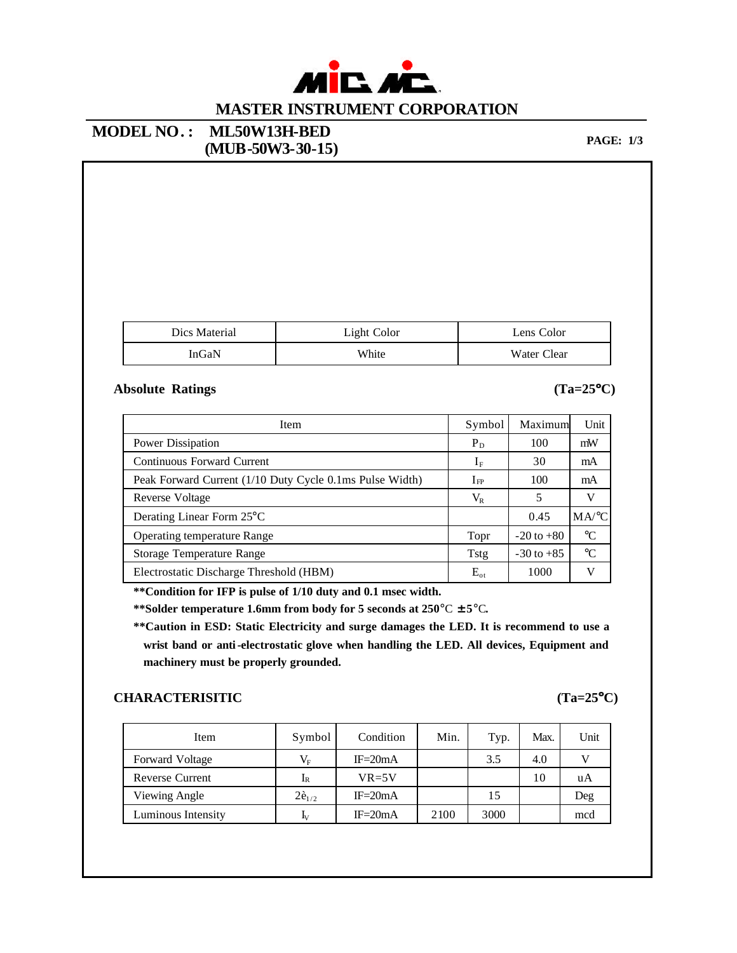

### **MODEL NO. : ML50W13H-BED PAGE:** 1/3<br> **(MUB-50W3-30-15) PAGE:** 1/3

| Dics Material | Light Color | Lens Color  |
|---------------|-------------|-------------|
| InGaN         | White       | Water Clear |

#### **Absolute Ratings (Ta=25°C)**

| Item                                                     | Symbol         | Maximum        | Unit            |
|----------------------------------------------------------|----------------|----------------|-----------------|
| Power Dissipation                                        | $P_D$          | 100            | mW              |
| Continuous Forward Current                               | 1 <sub>F</sub> | 30             | mA              |
| Peak Forward Current (1/10 Duty Cycle 0.1ms Pulse Width) | $I_{\rm FP}$   | 100            | mA              |
| Reverse Voltage                                          | $\rm V_R$      | 5              | V               |
| Derating Linear Form 25 <sup>°</sup> C                   |                | 0.45           | MA/°C           |
| <b>Operating temperature Range</b>                       | Topr           | $-20$ to $+80$ | $\rm ^{\circ}C$ |
| Storage Temperature Range                                | Tstg           | $-30$ to $+85$ | $^{\circ}C$     |
| Electrostatic Discharge Threshold (HBM)                  | $E_{\rm ot}$   | 1000           | v               |

**\*\*Condition for IFP is pulse of 1/10 duty and 0.1 msec width.**

**\*\*Solder temperature 1.6mm from body for 5 seconds at 250**°C **±5**°C**.**

**\*\*Caution in ESD: Static Electricity and surge damages the LED. It is recommend to use a wrist band or anti-electrostatic glove when handling the LED. All devices, Equipment and machinery must be properly grounded.**

#### **CHARACTERISITIC (Ta=25°C)**

| Item                   | Symbol       | Condition   | Min. | Typ. | Max. | Unit |
|------------------------|--------------|-------------|------|------|------|------|
| Forward Voltage        | $V_{\rm F}$  | $IF = 20mA$ |      | 3.5  | 4.0  |      |
| <b>Reverse Current</b> | 1R           | $VR=5V$     |      |      | 10   | uA   |
| Viewing Angle          | $2e_{1/2}$   | $IF = 20mA$ |      | 15   |      | Deg  |
| Luminous Intensity     | $\mathbf{I}$ | $IF = 20mA$ | 2100 | 3000 |      | mcd  |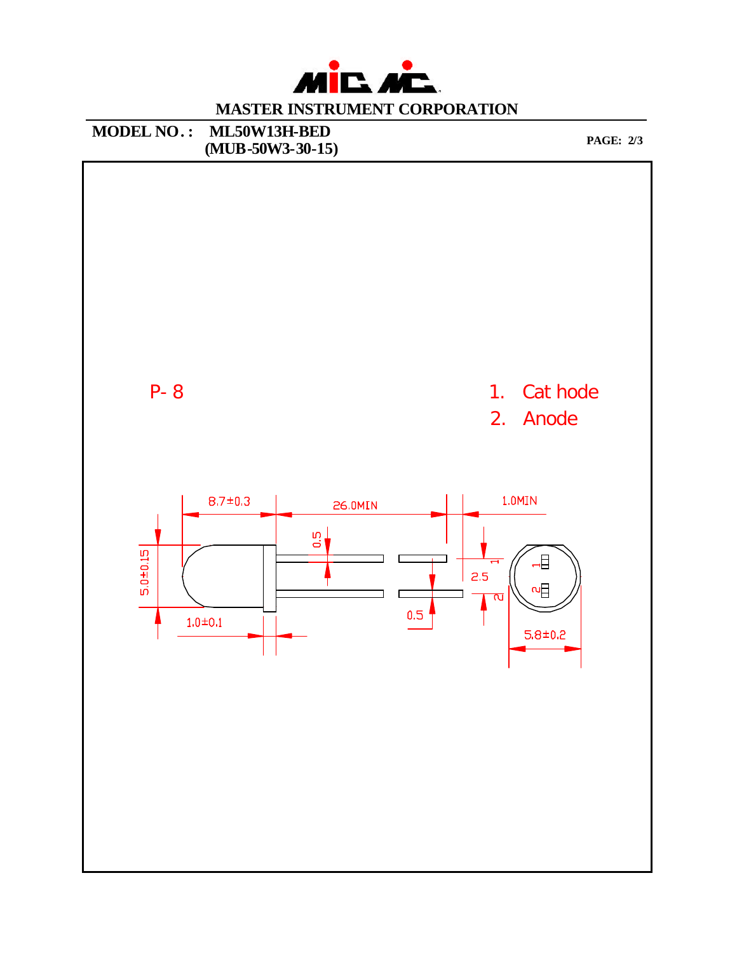

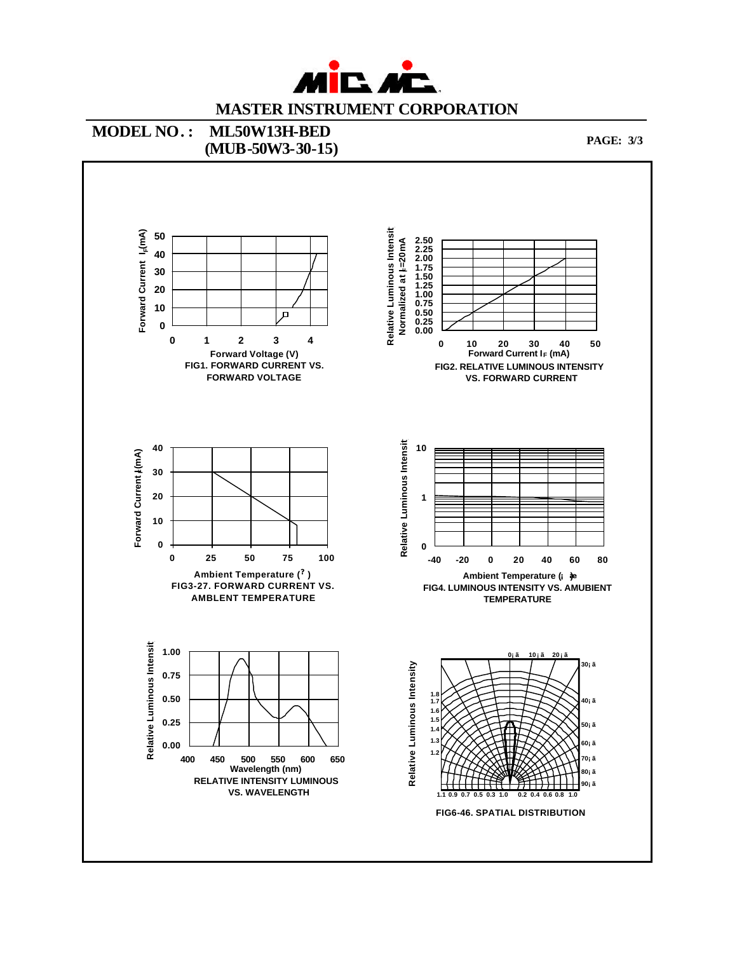

### **MODEL NO. : ML50W13H-BED (MUB-50W3-30-15) PAGE:** 3/3

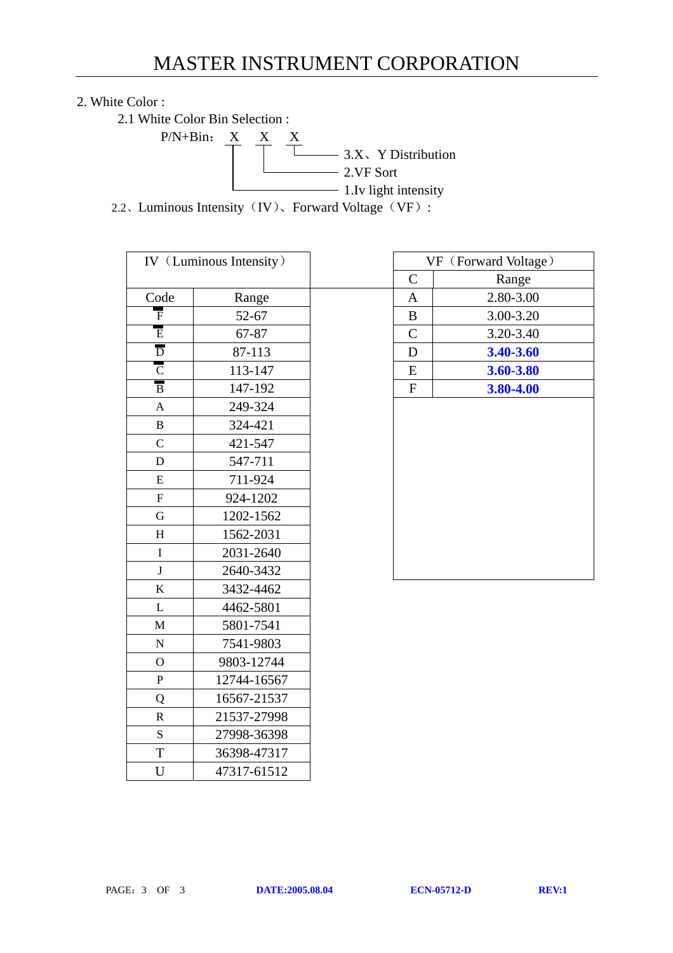# 2. White Color :

2.1 White Color Bin Selection :



2.2、Luminous Intensity (IV)、Forward Voltage (VF):

| IV (Luminous Intensity)   |             | VF (Forward Voltag |                |           |
|---------------------------|-------------|--------------------|----------------|-----------|
|                           |             |                    | $\mathsf{C}$   | Range     |
| Code                      | Range       |                    | $\mathbf{A}$   | 2.80-3.00 |
| $\overline{\mathrm{F}}$   | 52-67       |                    | $\, {\bf B}$   | 3.00-3.20 |
| $\overline{\mathrm{E}}$   | 67-87       |                    | $\overline{C}$ | 3.20-3.40 |
| $\overline{D}$            | 87-113      |                    | D              | 3.40-3.60 |
| $\overline{C}$            | 113-147     |                    | ${\bf E}$      | 3.60-3.80 |
| $\overline{B}$            | 147-192     |                    | ${\bf F}$      | 3.80-4.00 |
| $\mathbf{A}$              | 249-324     |                    |                |           |
| $\bf{B}$                  | 324-421     |                    |                |           |
| $\mathbf C$               | 421-547     |                    |                |           |
| $\mathbf D$               | 547-711     |                    |                |           |
| ${\bf E}$                 | 711-924     |                    |                |           |
| $\overline{F}$            | 924-1202    |                    |                |           |
| $\overline{G}$            | 1202-1562   |                    |                |           |
| $\boldsymbol{\mathrm{H}}$ | 1562-2031   |                    |                |           |
| $\overline{I}$            | 2031-2640   |                    |                |           |
| ${\bf J}$                 | 2640-3432   |                    |                |           |
| $\bf K$                   | 3432-4462   |                    |                |           |
| L                         | 4462-5801   |                    |                |           |
| $\mathbf M$               | 5801-7541   |                    |                |           |
| ${\bf N}$                 | 7541-9803   |                    |                |           |
| $\overline{O}$            | 9803-12744  |                    |                |           |
| $\mathbf{P}$              | 12744-16567 |                    |                |           |
| Q                         | 16567-21537 |                    |                |           |
| $\overline{\mathsf{R}}$   | 21537-27998 |                    |                |           |
| S                         | 27998-36398 |                    |                |           |
| $\overline{T}$            | 36398-47317 |                    |                |           |
| $\mathbf U$               | 47317-61512 |                    |                |           |

|                           | IV (Luminous Intensity) |              | VF (Forward Voltage) |
|---------------------------|-------------------------|--------------|----------------------|
|                           |                         | $\mathbf C$  | Range                |
| Code                      | Range                   | A            | 2.80-3.00            |
| F                         | 52-67                   | B            | 3.00-3.20            |
| $\overline{E}$            | 67-87                   | $\mathsf{C}$ | 3.20-3.40            |
| $\overline{D}$            | 87-113                  | D            | 3.40-3.60            |
| $\overline{C}$            | 113-147                 | E            | 3.60-3.80            |
| $\overline{B}$            | 147-192                 | $\mathbf{F}$ | 3.80-4.00            |
| $\mathbf{A}$              | 249-324                 |              |                      |
| B                         | 324-421                 |              |                      |
| $\mathbf C$               | 421-547                 |              |                      |
| $\mathbf D$               | 547-711                 |              |                      |
| E                         | 711-924                 |              |                      |
| $\boldsymbol{\mathrm{F}}$ | 924-1202                |              |                      |
| G                         | 1202-1562               |              |                      |
| H                         | 1562-2031               |              |                      |
| $\mathbf I$               | 2031-2640               |              |                      |
| T.                        | 2640, 2422              |              |                      |